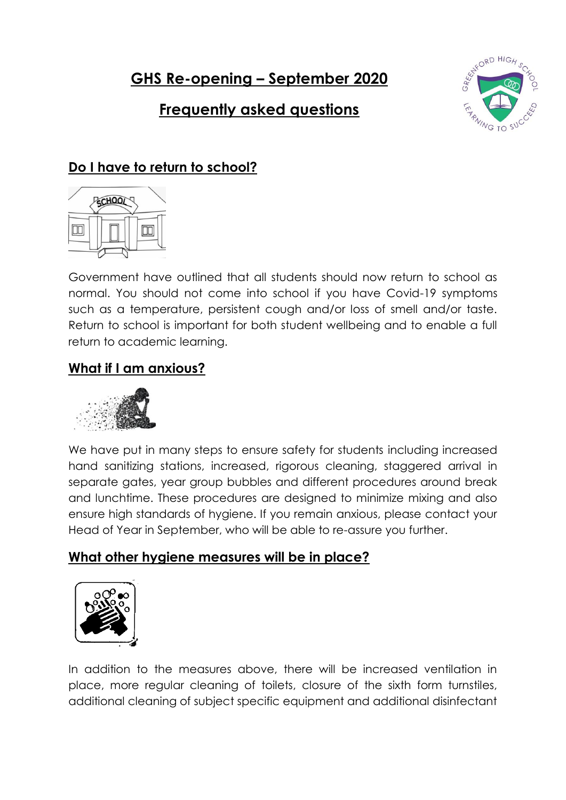**GHS Re-opening – September 2020**

# **Frequently asked questions**



## **Do I have to return to school?**



Government have outlined that all students should now return to school as normal. You should not come into school if you have Covid-19 symptoms such as a temperature, persistent cough and/or loss of smell and/or taste. Return to school is important for both student wellbeing and to enable a full return to academic learning.

## **What if I am anxious?**



We have put in many steps to ensure safety for students including increased hand sanitizing stations, increased, rigorous cleaning, staggered arrival in separate gates, year group bubbles and different procedures around break and lunchtime. These procedures are designed to minimize mixing and also ensure high standards of hygiene. If you remain anxious, please contact your Head of Year in September, who will be able to re-assure you further.

## **What other hygiene measures will be in place?**



In addition to the measures above, there will be increased ventilation in place, more regular cleaning of toilets, closure of the sixth form turnstiles, additional cleaning of subject specific equipment and additional disinfectant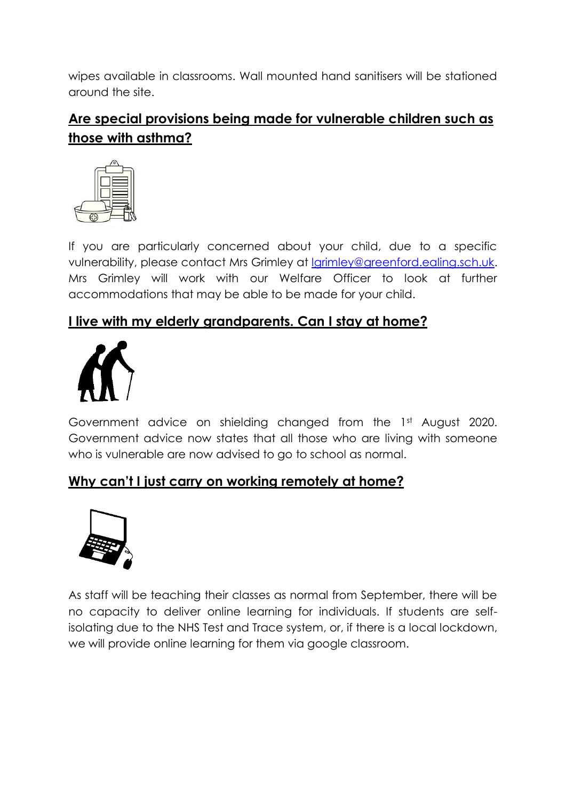wipes available in classrooms. Wall mounted hand sanitisers will be stationed around the site.

# **Are special provisions being made for vulnerable children such as those with asthma?**



If you are particularly concerned about your child, due to a specific vulnerability, please contact Mrs Grimley at [lgrimley@greenford.ealing.sch.uk.](mailto:lgrimley@greenford.ealing.sch.uk) Mrs Grimley will work with our Welfare Officer to look at further accommodations that may be able to be made for your child.

## **I live with my elderly grandparents. Can I stay at home?**



Government advice on shielding changed from the 1st August 2020. Government advice now states that all those who are living with someone who is vulnerable are now advised to go to school as normal.

## **Why can't I just carry on working remotely at home?**



As staff will be teaching their classes as normal from September, there will be no capacity to deliver online learning for individuals. If students are selfisolating due to the NHS Test and Trace system, or, if there is a local lockdown, we will provide online learning for them via google classroom.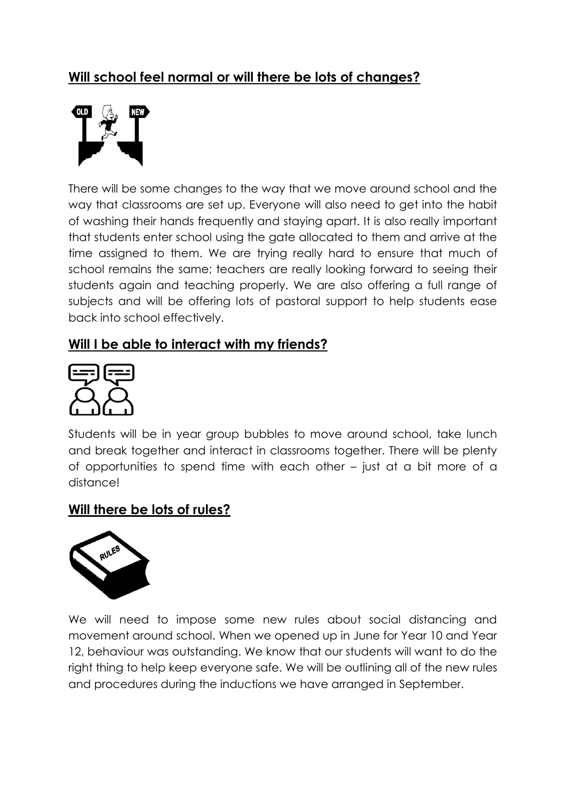## **Will school feel normal or will there be lots of changes?**



There will be some changes to the way that we move around school and the way that classrooms are set up. Everyone will also need to get into the habit of washing their hands frequently and staying apart. It is also really important that students enter school using the gate allocated to them and arrive at the time assigned to them. We are trying really hard to ensure that much of school remains the same; teachers are really looking forward to seeing their students again and teaching properly. We are also offering a full range of subjects and will be offering lots of pastoral support to help students ease back into school effectively.

### **Will I be able to interact with my friends?**



Students will be in year group bubbles to move around school, take lunch and break together and interact in classrooms together. There will be plenty of opportunities to spend time with each other – just at a bit more of a distance!

#### **Will there be lots of rules?**



We will need to impose some new rules about social distancing and movement around school. When we opened up in June for Year 10 and Year 12, behaviour was outstanding. We know that our students will want to do the right thing to help keep everyone safe. We will be outlining all of the new rules and procedures during the inductions we have arranged in September.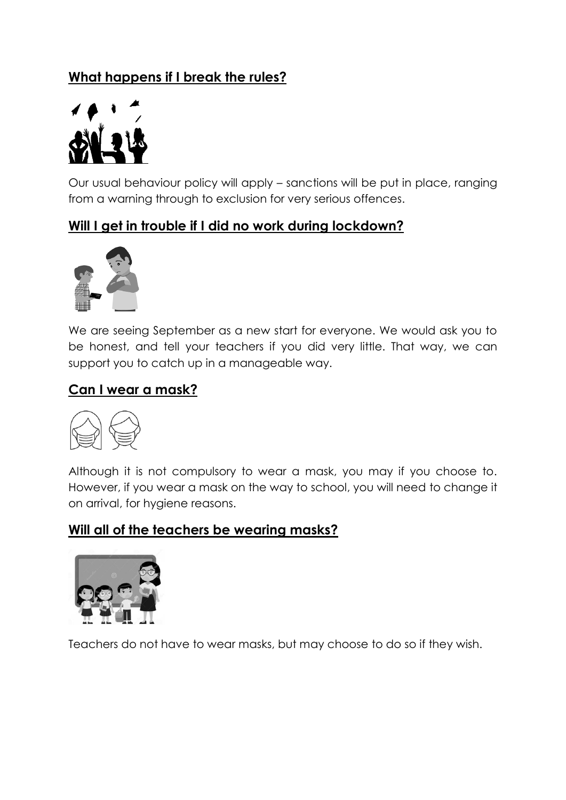# **What happens if I break the rules?**



Our usual behaviour policy will apply – sanctions will be put in place, ranging from a warning through to exclusion for very serious offences.

## **Will I get in trouble if I did no work during lockdown?**



We are seeing September as a new start for everyone. We would ask you to be honest, and tell your teachers if you did very little. That way, we can support you to catch up in a manageable way.

### **Can I wear a mask?**



Although it is not compulsory to wear a mask, you may if you choose to. However, if you wear a mask on the way to school, you will need to change it on arrival, for hygiene reasons.

### **Will all of the teachers be wearing masks?**



Teachers do not have to wear masks, but may choose to do so if they wish.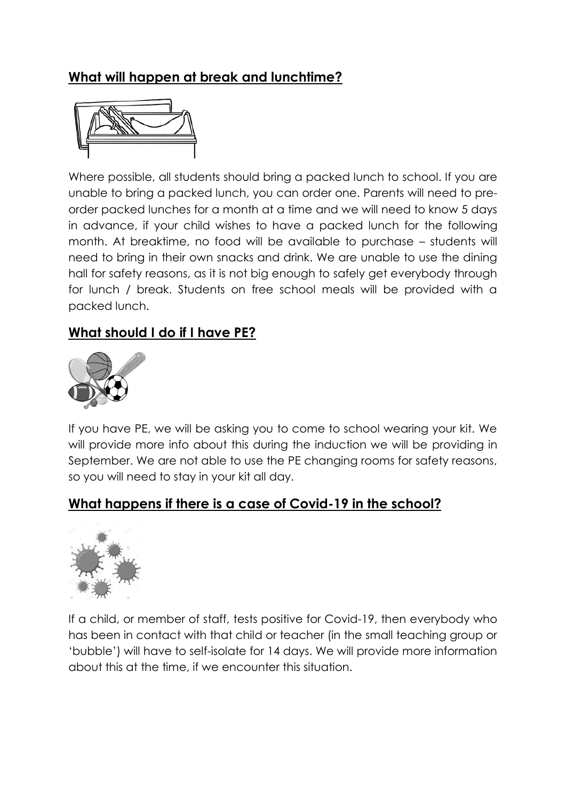# **What will happen at break and lunchtime?**



Where possible, all students should bring a packed lunch to school. If you are unable to bring a packed lunch, you can order one. Parents will need to preorder packed lunches for a month at a time and we will need to know 5 days in advance, if your child wishes to have a packed lunch for the following month. At breaktime, no food will be available to purchase – students will need to bring in their own snacks and drink. We are unable to use the dining hall for safety reasons, as it is not big enough to safely get everybody through for lunch / break. Students on free school meals will be provided with a packed lunch.

## **What should I do if I have PE?**



If you have PE, we will be asking you to come to school wearing your kit. We will provide more info about this during the induction we will be providing in September. We are not able to use the PE changing rooms for safety reasons, so you will need to stay in your kit all day.

### **What happens if there is a case of Covid-19 in the school?**



If a child, or member of staff, tests positive for Covid-19, then everybody who has been in contact with that child or teacher (in the small teaching group or 'bubble') will have to self-isolate for 14 days. We will provide more information about this at the time, if we encounter this situation.